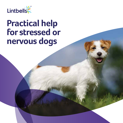

# **Practical help for stressed or nervous dogs**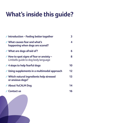# **What's inside this guide?**

| <b>∕Introduction - Feeling better together</b>                                                       | 3       |
|------------------------------------------------------------------------------------------------------|---------|
| <b>∕ What causes fear and what's</b><br>happening when dogs are scared?                              | 4       |
| What are dogs afraid of?                                                                             | 6       |
| $\blacktriangleright$ How to spot signs of fear or anxiety –<br>Lintbells quide to dog body language | 8       |
| <b>∕4 steps to help fearful dogs</b>                                                                 | 10      |
| <b>∕ Using supplements in a multimodal approach</b>                                                  | $12 \,$ |
| <b>∕ Which natural ingredients help stressed</b><br>or anxious dogs?                                 | 13      |
| About YuCALM Dog                                                                                     | 14      |
| <b>Contact us</b>                                                                                    | 16      |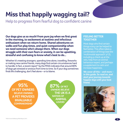# **Miss that happily wagging tail?**

Help to progress from fearful dog to confident canine

**Our dogs give us so much! From pure joy when we first greet in the morning, to excitement at teatime and infectious enthusiasm when we return home. Shared adventures on walks and fun play times, and quiet companionship when we need someone who's always there. When our dogs struggle with their own fears or anxiety, it can be upsetting, stressful and confusing to know what's best to do...**

Whether it's meeting strangers, spending time alone, travelling, fireworks or making new canine friends, many dogs find certain circumstances hard to handle. In fact, a recent report\* by the PDSA indicates that around 80% of dogs get stressed or anxious from time to time. So if your dog sometimes finds life challenging, don't feel alone – or to blame.

**95% OF PET OWNERS A PET PROVIDES INVALUABLE COMPANIONSHIP\* BELIEVE OWNING**

**87% OF PET OWNERS BELIEVE THE UK IS A ANIMAL LOVERS NATION OF**

## **FEELING BETTER TOGETHER**

Most dogs who find certain things scary can be helped to feel better. This often takes a combination of things (see the 'multimodal approach' p12), including a check up at the vets, help from an animal behaviour expert, and perhaps a supplement to calm and increase happiness.

**We cover all this – and more – in this guide. So read on, and start your journey towards happier days with your best friend.** 

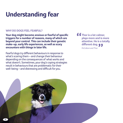# **Understanding fear**

## **WHY DO DOGS FEEL FEARFUL?**

**Your dog might become anxious or fearful of specific triggers for a number of reasons, many of which are beyond your control. This can include their genetic make-up, early life experiences, as well as scary encounters with things in later life.** 

Fearful dogs try different behaviours in response to what's scaring them – and change their behaviour depending on the consequences of what works and what doesn't. Sometimes, your dog's coping strategies result in behaviours that are problematic for their well-being – and distressing and difficult for you.

**f**  $f$  Thor is a lot calmer, **plays more and is more attentive. He is a totally different dog.** McCallum and Thor

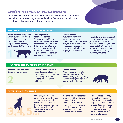## **WHAT'S HAPPENING, SCIENTIFICALLY SPEAKING?**

Dr Emily Blackwell, Clinical Animal Behaviourist at the University of Bristol has helped us create a diagram to explain how fears – and the behaviours that show us that dogs are frightened – develop.

## **FIRST ENCOUNTER WITH SOMETHING SCARY**

**Stress response is triggered** When your dog encounters something scary, they become 'aroused' or 'hyper-vigilant' and they think about what to do next.



**Your dog tries to resolve the conflict** Your dog will try different responses to solve the issue – that might be running away, hiding or growling to make the scary thing go away. The response he or she tries will depend on their personality and past experiences.

## **Consequences?**

If your dog's behaviour successfully removes the threat (your scared dog moves away from the threat, or the threat itself moves away or ceases), 'arousal' will decline, helping them feel better.

If the behaviour is unsuccessful, and the threat is not removed, your dog becomes more 'aroused'. They may try another response to the threat – if they started with a warning growl and the threat doesn't go away, they may snap.

## **NEXT ENCOUNTER WITH SOMETHING SCARY**

If their response worked last time, they may try it again.

However, if this behaviour doesn't successfully remove the threat again, they may try something else. Perhaps instead of barking, your dog will growl.

### **Consequences?**

With repeated exposure to scary events, a successful behaviour (e.g. growling, hiding, barking or snapping) becomes more established (automatic).



## **AFTER MANY ENCOUNTERS**



Over time, with repeated exposure to a scary situation, successful responses will become more established (hiding, growling orwhatever has worked in the past). There are two ways this can manifest:

**1: Sensitisation** – responses occur even with less intense triggers. So if your dog has shown fearful responses towards other dogs coming close, they may start to react to dogs that used to be at a 'safe' distance.

**2: Generalisation** – they respond in a wider range of situations. For example, a dog who is scared of sudden, unpredictable loud noises – such as fireworks, thunder or heavy vehicles – may develop a reaction to other similar noises.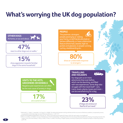# **What's worrying the UK dog population?**



**VISITS TO THE VETS, GROOMERS OR KENNELS** Negative past experiences can often be the root cause of anxiety in dogs.

**17%** 

are scared of vets.2

## **PEOPLE**

The postman, strangers, people passing by or visiting your home, or old friends who look or behave differently, or have a distinctive feature (think hats, beards, high vis jackets and glasses), or people running, cycling, skateboarding etc.

> **80%**  show an undesirable response to strangers.<sup>1</sup>

## **TRAVELLING AND HOLIDAYS**

Our dogs join us on more adventures than ever before, which can be daunting, and filled with new experiences. Some dogs also

 $\overline{1}$ 

struggle with the travel itself – cars, trains, boats, planes, buses and more – can be overwhelming for a dog.

> of dogs are anxious or **23%**  $f$ earful of car travel<sup>3</sup>

**1** Blackwell, E. J., Twells, C., Seawright, A. & Casey, R. A. (2008). The relationship between training methods and the occurrence of behaviour problems, as reported by owners, in a population of domestic dogs. Journal of Veterinary Behaviour , 3, 207-217.

**2** PDSA Animal Wellbeing (PAW) Report 2018, pg. 18 - https://www.pdsa.org.uk/media/4372/paw-2018-full-web-ready-a4-printable.pdf

**3** Mills, D. S. & Mills, C. B. (2003). A survey of the behaviour of UK household dogs. Proceedings of the 4th International Veterinary Behaviour Meeting, Proceedings Number 352, August 18-20, 203. Eds K Seksel, G. Perry, D. Mills, D. Frank, E. Lindell, P. McGreevy, P. Pageat. Sydney, University of Sydney Post-Graduate Foundation in Veterinary Science, pp 93-98.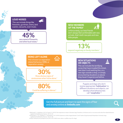## **LOUD NOISES**

This can include things like fireworks, gunshots, sirens, bird scarers, vacuums, even music.

## **45%**

are scared of fireworks and other loud noises.4

## **NEW MEMBERS OF THE FAMILY**



Unfortunately, our best friends don't always feel comfortable with new arrivals, that's both new pets and new little people.

**13%**  respond negatively to family members.<sup>1</sup>

**BEING LEFT ALONE** This is known as separation related behaviour (SRB), or



'separation anxiety.'

Show obvious signs of **30%** anxiousness when home alone.1

**80%**  Could be suffering in silence.<sup>6</sup>

## **NEW SITUATIONS OR OBJECTS**

This can include the terrifying cones that have invaded the street, next door's evil washing line, or a new sign outside a shop, or simply encountering situations or places they haven't experienced before.

Puppies and dogs who don't receive appropriate '**habituation**' to different situations and objects, can develop what behaviourists call "**neophobia**".5

Get the full picture and learn to spot the signs of fear and anxiety online at **lintbells.com**

**4** Blackwell, E. J., Bradshaw, J. W. D. & Casey, R. A. (2013). Fear responses to noises in domestic dogs: Prevalence, risk factors and co-occurrence with other fear related behaviour. Applied Animal Behaviour Science, 145, 15-25.

**5** Pluijmakers, J, T, M., Appleby, D. L. & Bradshaw, J. W. S. (2010). Exposure to video images between 3 and 5 weeks of age decreased Neophobia in domestic dogs. Applied Animal Behaviour Science, 126, 51-58.

**6** https://behaviourvet.wordpress.com/2013/10/14/left-home-alone-a-welfare-issue-for-dogs/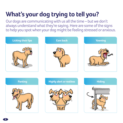# **What's your dog trying to tell you?**

Our dogs are communicating with us all the time – but we don't always understand what they're saying. Here are some of the signs to help you spot when your dog might be feeling stressed or anxious.

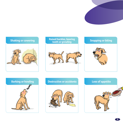

## **Shaking or cowering Raised hackles, bearing Raised hackles, bearing Raised Beam Reader**





# **Barking or howling**<br> **Destructive or accidents Loss of appetite**



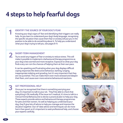# **4 steps to help fearful dogs**

## **IDENTIFY THE SOURCE OF YOUR DOG'S FEAR**

Knowing your dog's signs of fear and identifying their triggers can really help. As you learn to understand your dog's body language, recognising the specific situation that cause them fear or anxiety will put you in the position to be able to do something about it. To help you understand what your dog's trying to tell you, see pages 8-9.

## **SHORT-TERM MANAGEMENT 2**

**1**

Try to avoid any triggers of fear or anxiety to reduce stress. This will make it possible to implement a behavioural therapy programme as your dog is less worried and more receptive. Exposure to what your dog finds scary can ruin the chances of helping them at their own pace.

It can be upsetting and frustrating when your dog displays difficult coping responses like destructive behaviour, barking, lunging, inappropriate toileting and growling, but it's very important that they are not punished. This can make them even more stressed and deepen their fears, and cause even more extreme behavioural reactions.



Once you've recognised that there is something worrying your dog, it's important to talk to your vet. They'll be able to check that everything's OK medically. If the issue isn't medical, it's time to talk to a Clinical Animal Behaviourist to devise a practical plan to help your dog. These experts provide advice and behavioural therapy programmes for pets and their owners. As well as helping you understand your dog, they'll give lots of advice to help you manage and improve the situation together. Out-of-date advice and techniques can do more harm than good, so it's important to seek professional help, and choose your experts carefully.



**3**

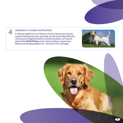## **CONSIDER A CALMING SUPPLEMENT**

**4**

A calming supplement can help you and your dog on your journey towards making every day a good day. As well as providing effective calming and a happiness boost in stressful situations, all-natural options like **YuCALM Dog** can be used everyday to support your behavioural therapy programme – see how on the next page.



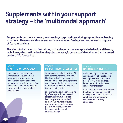# **Supplements within your support strategy – the 'multimodal approach'**

**Supplements can help stressed, anxious dogs by providing calming support in challenging situations. They're also ideal as you work on changing feelings and responses to triggers of fear and anxiety.** 

The idea is to help your dog feel calmer, so they become more receptive to behavioural therapy techniques, which in time lead to a happier, more playful, more confident dog, and an improved quality of life for you both.

## STAGE<sub>1</sub> **SHORT TERM MANAGEMENT**

Supplements can help your dog feel calmer, overall. It can be an ideal first step towards rehabilitation as you get advice from your vet practice or a certified behaviourist to make immediate environmental changes to help reduce stress.

## STAGE 2 **SUPPORT THEM TO FEEL BETTER**

Working with a behaviourist, you'll start behaviour therapy techniques, like desensitisation and counter conditioning. The right supplement can help your dog be more receptive to this therapy work thanks to its instant calming action.

Supplements also support learning by affecting the dopamine and serotonin pathways. Your dog feels happier and more playful as they learn new behavioural responses and experience more positive emotions, which can increase confidence and improves results.

## STAGE 3 **ONGOING IMPROVEMENT**

With positivity, commitment, and consistency, you'll start to see a real improvement as your dog becomes reassured, and feels better in situations that have caused fear or anxiety.

As your relationship moves forward together – your dog will be able to enjoy more out of life, as calmer emotional and behavioural responses are positively reinforced.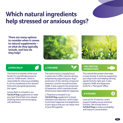# **Which natural ingredients help stressed or anxious dogs?**

**There are many options to consider when it comes to natural supplements – so what do they typically include, and how do they help?**





This herb is a member of the mint family. It's scientifically proven to work on 'GABA levels', which is responsible for reducing excitability. It can be considered as the 'downer' that works alongside glutamate, the 'upper'.

Lemon Balm is included in our **YuCALM Dog** supplement to make your best friend feel more relaxed, soothing stress and encouraging calm behaviour.

This amino acid is uniquely found in green tea. It offers natural calming properties by supporting your dog's production of the calming compound serotonin, and the neurotransmitter GABA. It also supports the production of dopamine, which maintains levels of hormones responsible for happiness.

L-Theanine is included in our **YuCALM Dog** supplement to boost relaxation and attention, which helps to promote happiness and playfulness in your dog so that you can enjoy more of your life together.

## **LEMON BALM L-THEANINE FISH PROTEIN HYDROLYSATE**



This natural fish protein that helps to ease anxiety. It works by supporting your dog's brain and helping calming signals find the right spot. It also supports GABA and dopamine levels for a "feel good" effect.

## **B VITAMINS**

B<sup></sup>

Look out for B vitamins, which support healthy nerves and brain function. We include them in **YuCALM Dog** to reduce excitability and improve concentration.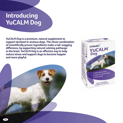# **Introducing YuCALM Dog**

**YuCALM Dog is a premium, natural supplement to support stressed or anxious dogs. The clever combination of scientifically proven ingredients make a tail-wagging difference, by supporting natural calming pathways in the brain. YuCALM Dog is an effective way to help reduce stress and support dogs to become happier and more playful.** 

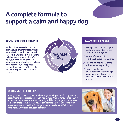# **A complete formula to support a calm and happy dog**

It's the only '**triple-action**' natural calming supplement for dogs, with an innovative formula that gets to work in three ways, unlocking clever chemicals called neurotransmitters that affect how your dog's brain works. GABA reduces excitation (soothes and relaxes), while dopamine (the happiness chemical) and serotonin (the calming chemical) help your dog feel better, naturally.



- A complete formula to support a calm and happy dog – that's suitable to use long-term
- A unique formula with scientifically proven ingredients
- Safe and all-natural it calms without sedating your dog
- $\prime$  It can be used as part of a longer-term behaviour therapy programme to help you and your dog enjoy more out of life, together

## **CHOOSING THE RIGHT EXPERT**

It's a good idea to talk to your vet about ways to help your fearful dog. We also recommend using the register of Certified Clinical Animal Behaviourists (CCAB) to make sure you see someone with the right skills, knowledge and experience – inappropriate or out-of-date advice can do more harm than good to your dog's behaviour and welfare. To find your local Clinical Animal Behaviourist visit: **http://www.asab.org/ccab-register**